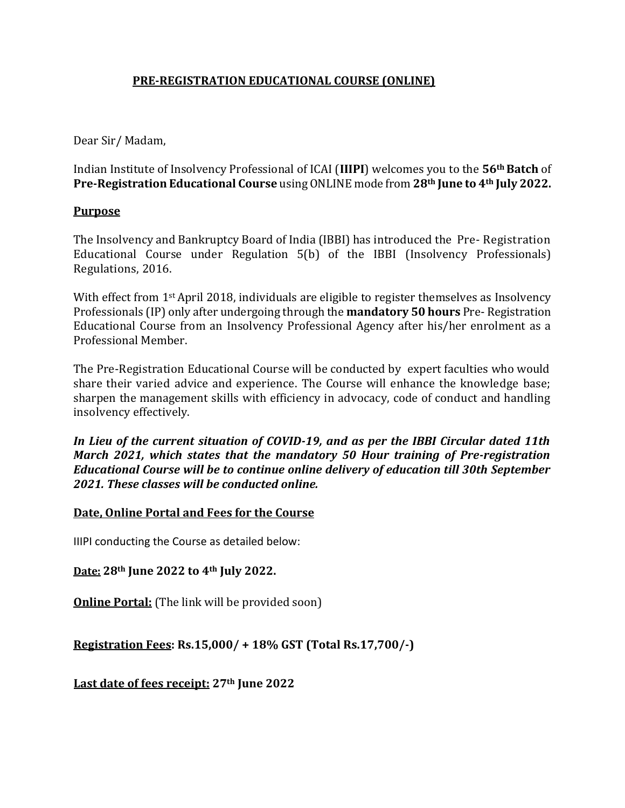# **PRE-REGISTRATION EDUCATIONAL COURSE (ONLINE)**

Dear Sir/ Madam,

Indian Institute of Insolvency Professional of ICAI (**IIIPI**) welcomes you to the **56thBatch** of **Pre-Registration Educational Course** using ONLINE mode from **28th June to 4th July 2022.**

# **Purpose**

The Insolvency and Bankruptcy Board of India (IBBI) has introduced the Pre- Registration Educational Course under Regulation 5(b) of the IBBI (Insolvency Professionals) Regulations, 2016.

With effect from 1<sup>st</sup> April 2018, individuals are eligible to register themselves as Insolvency Professionals (IP) only after undergoing through the **mandatory 50 hours** Pre- Registration Educational Course from an Insolvency Professional Agency after his/her enrolment as a Professional Member.

The Pre-Registration Educational Course will be conducted by expert faculties who would share their varied advice and experience. The Course will enhance the knowledge base; sharpen the management skills with efficiency in advocacy, code of conduct and handling insolvency effectively.

*In Lieu of the current situation of COVID-19, and as per the IBBI Circular dated 11th March 2021, which states that the mandatory 50 Hour training of Pre-registration Educational Course will be to continue online delivery of education till 30th September 2021. These classes will be conducted online.*

# **Date, Online Portal and Fees for the Course**

IIIPI conducting the Course as detailed below:

**Date: 28th June 2022 to 4th July 2022.**

**Online Portal:** (The link will be provided soon)

**Registration Fees: Rs.15,000/ + 18% GST (Total Rs.17,700/-)**

**Last date of fees receipt: 27th June 2022**